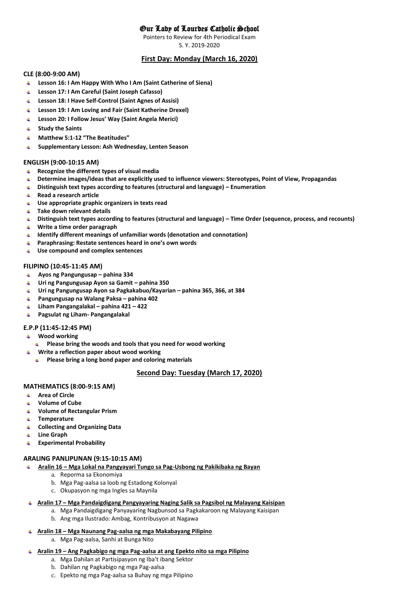# Our Lady of Lourdes Catholic School

Pointers to Review for 4th Periodical Exam

S. Y. 2019-2020

# **First Day: Monday (March 16, 2020)**

## **CLE (8:00-9:00 AM)**

- **Lesson 16: I Am Happy With Who I Am (Saint Catherine of Siena)** ⊕.
- 41 **Lesson 17: I Am Careful (Saint Joseph Cafasso)**
- **Lesson 18: I Have Self-Control (Saint Agnes of Assisi)** 4.
- **Lesson 19: I Am Loving and Fair (Saint Katherine Drexel)** ₩.
- **Lesson 20: I Follow Jesus' Way (Saint Angela Merici)** ₩.
- **Study the Saints** ₩.
- **Matthew 5:1-12 "The Beatitudes"** 40
- $\blacksquare$ **Supplementary Lesson: Ash Wednesday, Lenten Season**

### **ENGLISH (9:00-10:15 AM)**

- **Recognize the different types of visual media**
- **Determine images/ideas that are explicitly used to influence viewers: Stereotypes, Point of View, Propagandas**
- **Distinguish text types according to features (structural and language) – Enumeration**
- **Read a research article**
- **Use appropriate graphic organizers in texts read**
- **Take down relevant details**
- **Distinguish text types according to features (structural and language) – Time Order (sequence, process, and recounts)**
- **Write a time order paragraph**
- **Identify different meanings of unfamiliar words (denotation and connotation)**
- **Paraphrasing: Restate sentences heard in one's own words**
- **Use compound and complex sentences**

### **FILIPINO (10:45-11:45 AM)**

- **Ayos ng Pangungusap – pahina 334**
- **Uri ng Pangungusap Ayon sa Gamit – pahina 350**
- **Uri ng Pangungusap Ayon sa Pagkakabuo/Kayarian – pahina 365, 366, at 384**
- **Pangungusap na Walang Paksa – pahina 402**
- **Liham Pangangalakal – pahina 421 – 422**
- **Pagsulat ng Liham- Pangangalakal**

## **E.P.P (11:45-12:45 PM)**

- **Wood working**
	- **Please bring the woods and tools that you need for wood working**
	- **Write a reflection paper about wood working**
	- **Please bring a long bond paper and coloring materials**

## **Second Day: Tuesday (March 17, 2020)**

## **MATHEMATICS (8:00-9:15 AM)**

**Area of Circle**

**.**

- **Volume of Cube**
- 40 **Volume of Rectangular Prism**
- **Temperature** ₩.
- **Collecting and Organizing Data** ⊕.
- $+$ **Line Graph**
- **Experimental Probability**

## **ARALING PANLIPUNAN (9:15-10:15 AM)**

- **Aralin 16 – Mga Lokal na Pangyayari Tungo sa Pag-Usbong ng Pakikibaka ng Bayan** 电子
	- a. Reporma sa Ekonomiya
		- b. Mga Pag-aalsa sa loob ng Estadong Kolonyal
		- c. Okupasyon ng mga Ingles sa Maynila
- **Aralin 17 – Mga Pandaigdigang Pangyayaring Naging Salik sa Pagsibol ng Malayang Kaisipan**
	- a. Mga Pandaigdigang Panyayaring Nagbunsod sa Pagkakaroon ng Malayang Kaisipan
	- b. Ang mga Ilustrado: Ambag, Kontribusyon at Nagawa
- **Aralin 18 – Mga Naunang Pag-aalsa ng mga Makabayang Pilipino**   $\ddot{\bullet}$ 
	- a. Mga Pag-aalsa, Sanhi at Bunga Nito
- **Aralin 19 – Ang Pagkabigo ng mga Pag-aalsa at ang Epekto nito sa mga Pilipino** 
	- a. Mga Dahilan at Partisipasyon ng Iba't ibang Sektor
	- b. Dahilan ng Pagkabigo ng mga Pag-aalsa
	- c. Epekto ng mga Pag-aalsa sa Buhay ng mga Pilipino